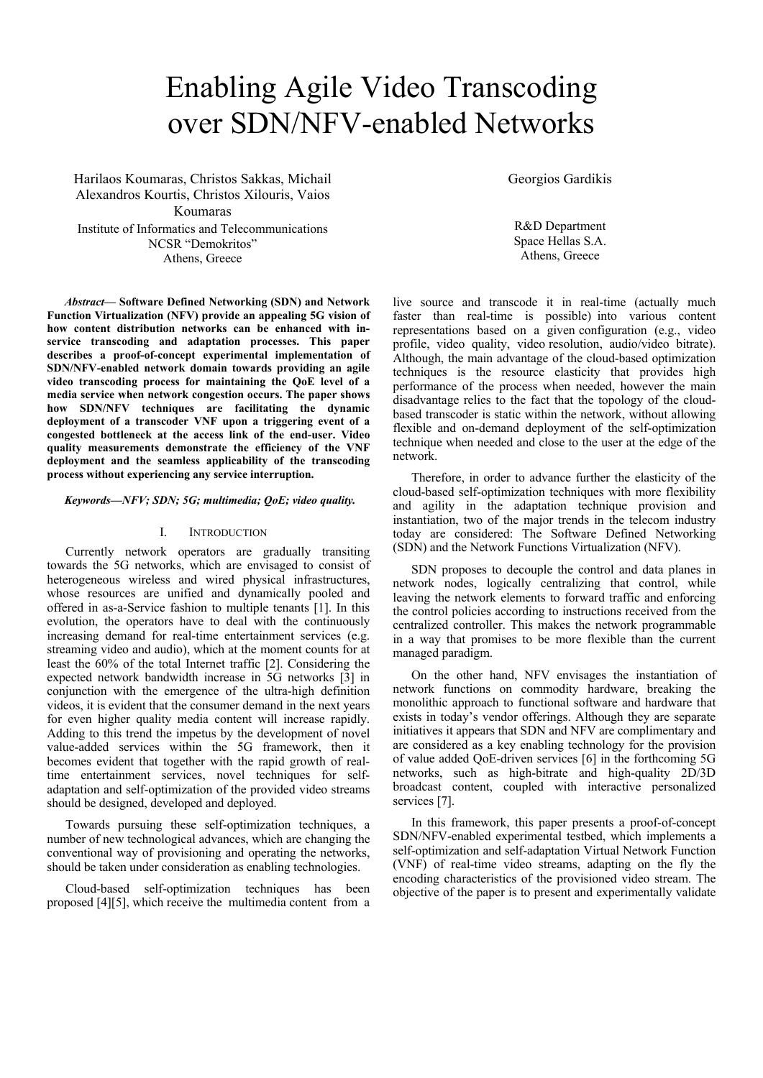# Enabling Agile Video Transcoding over SDN/NFV-enabled Networks

Harilaos Koumaras, Christos Sakkas, Michail Alexandros Kourtis, Christos Xilouris, Vaios Koumaras Institute of Informatics and Telecommunications NCSR "Demokritos" Athens, Greece

*Abstract***— Software Defined Networking (SDN) and Network Function Virtualization (NFV) provide an appealing 5G vision of how content distribution networks can be enhanced with inservice transcoding and adaptation processes. This paper describes a proof-of-concept experimental implementation of SDN/NFV-enabled network domain towards providing an agile video transcoding process for maintaining the QoE level of a media service when network congestion occurs. The paper shows how SDN/NFV techniques are facilitating the dynamic deployment of a transcoder VNF upon a triggering event of a congested bottleneck at the access link of the end-user. Video quality measurements demonstrate the efficiency of the VNF deployment and the seamless applicability of the transcoding process without experiencing any service interruption.** 

*Keywords—NFV; SDN; 5G; multimedia; QoE; video quality.* 

#### I. INTRODUCTION

Currently network operators are gradually transiting towards the 5G networks, which are envisaged to consist of heterogeneous wireless and wired physical infrastructures, whose resources are unified and dynamically pooled and offered in as-a-Service fashion to multiple tenants [1]. In this evolution, the operators have to deal with the continuously increasing demand for real-time entertainment services (e.g. streaming video and audio), which at the moment counts for at least the 60% of the total Internet traffic [2]. Considering the expected network bandwidth increase in 5G networks [3] in conjunction with the emergence of the ultra-high definition videos, it is evident that the consumer demand in the next years for even higher quality media content will increase rapidly. Adding to this trend the impetus by the development of novel value-added services within the 5G framework, then it becomes evident that together with the rapid growth of realtime entertainment services, novel techniques for selfadaptation and self-optimization of the provided video streams should be designed, developed and deployed.

Towards pursuing these self-optimization techniques, a number of new technological advances, which are changing the conventional way of provisioning and operating the networks, should be taken under consideration as enabling technologies.

Cloud-based self-optimization techniques has been proposed [4][5], which receive the multimedia content from a

Georgios Gardikis

R&D Department Space Hellas S.A. Athens, Greece

live source and transcode it in real-time (actually much faster than real-time is possible) into various content representations based on a given configuration (e.g., video profile, video quality, video resolution, audio/video bitrate). Although, the main advantage of the cloud-based optimization techniques is the resource elasticity that provides high performance of the process when needed, however the main disadvantage relies to the fact that the topology of the cloudbased transcoder is static within the network, without allowing flexible and on-demand deployment of the self-optimization technique when needed and close to the user at the edge of the network.

Therefore, in order to advance further the elasticity of the cloud-based self-optimization techniques with more flexibility and agility in the adaptation technique provision and instantiation, two of the major trends in the telecom industry today are considered: The Software Defined Networking (SDN) and the Network Functions Virtualization (NFV).

SDN proposes to decouple the control and data planes in network nodes, logically centralizing that control, while leaving the network elements to forward traffic and enforcing the control policies according to instructions received from the centralized controller. This makes the network programmable in a way that promises to be more flexible than the current managed paradigm.

On the other hand, NFV envisages the instantiation of network functions on commodity hardware, breaking the monolithic approach to functional software and hardware that exists in today's vendor offerings. Although they are separate initiatives it appears that SDN and NFV are complimentary and are considered as a key enabling technology for the provision of value added QoE-driven services [6] in the forthcoming 5G networks, such as high-bitrate and high-quality 2D/3D broadcast content, coupled with interactive personalized services [7].

In this framework, this paper presents a proof-of-concept SDN/NFV-enabled experimental testbed, which implements a self-optimization and self-adaptation Virtual Network Function (VNF) of real-time video streams, adapting on the fly the encoding characteristics of the provisioned video stream. The objective of the paper is to present and experimentally validate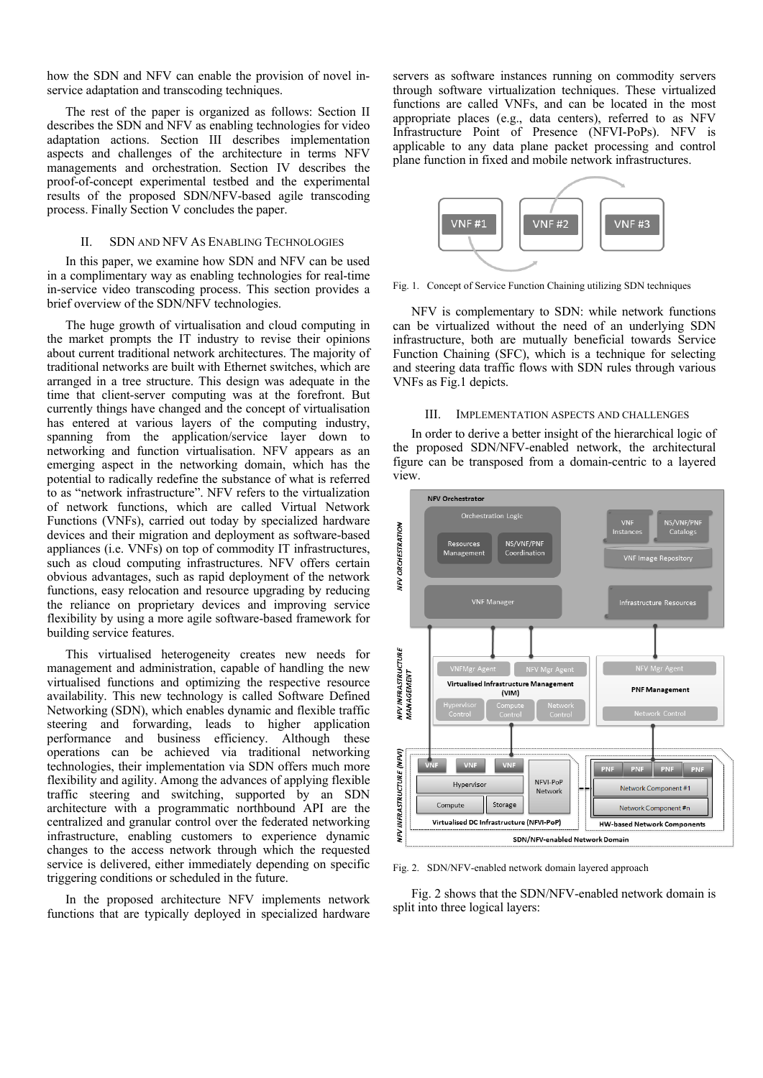how the SDN and NFV can enable the provision of novel inservice adaptation and transcoding techniques.

The rest of the paper is organized as follows: Section II describes the SDN and NFV as enabling technologies for video adaptation actions. Section III describes implementation aspects and challenges of the architecture in terms NFV managements and orchestration. Section IV describes the proof-of-concept experimental testbed and the experimental results of the proposed SDN/NFV-based agile transcoding process. Finally Section V concludes the paper.

# II. SDN AND NFV AS ENABLING TECHNOLOGIES

In this paper, we examine how SDN and NFV can be used in a complimentary way as enabling technologies for real-time in-service video transcoding process. This section provides a brief overview of the SDN/NFV technologies.

The huge growth of virtualisation and cloud computing in the market prompts the IT industry to revise their opinions about current traditional network architectures. The majority of traditional networks are built with Ethernet switches, which are arranged in a tree structure. This design was adequate in the time that client-server computing was at the forefront. But currently things have changed and the concept of virtualisation has entered at various layers of the computing industry, spanning from the application/service layer down to networking and function virtualisation. NFV appears as an emerging aspect in the networking domain, which has the potential to radically redefine the substance of what is referred to as "network infrastructure". NFV refers to the virtualization of network functions, which are called Virtual Network Functions (VNFs), carried out today by specialized hardware devices and their migration and deployment as software-based appliances (i.e. VNFs) on top of commodity IT infrastructures, such as cloud computing infrastructures. NFV offers certain obvious advantages, such as rapid deployment of the network functions, easy relocation and resource upgrading by reducing the reliance on proprietary devices and improving service flexibility by using a more agile software-based framework for building service features.

This virtualised heterogeneity creates new needs for management and administration, capable of handling the new virtualised functions and optimizing the respective resource availability. This new technology is called Software Defined Networking (SDN), which enables dynamic and flexible traffic steering and forwarding, leads to higher application performance and business efficiency. Although these operations can be achieved via traditional networking technologies, their implementation via SDN offers much more flexibility and agility. Among the advances of applying flexible traffic steering and switching, supported by an SDN architecture with a programmatic northbound API are the centralized and granular control over the federated networking infrastructure, enabling customers to experience dynamic changes to the access network through which the requested service is delivered, either immediately depending on specific triggering conditions or scheduled in the future.

In the proposed architecture NFV implements network functions that are typically deployed in specialized hardware servers as software instances running on commodity servers through software virtualization techniques. These virtualized functions are called VNFs, and can be located in the most appropriate places (e.g., data centers), referred to as NFV Infrastructure Point of Presence (NFVI-PoPs). NFV is applicable to any data plane packet processing and control plane function in fixed and mobile network infrastructures.



Fig. 1. Concept of Service Function Chaining utilizing SDN techniques

NFV is complementary to SDN: while network functions can be virtualized without the need of an underlying SDN infrastructure, both are mutually beneficial towards Service Function Chaining (SFC), which is a technique for selecting and steering data traffic flows with SDN rules through various VNFs as Fig.1 depicts.

### III. IMPLEMENTATION ASPECTS AND CHALLENGES

In order to derive a better insight of the hierarchical logic of the proposed SDN/NFV-enabled network, the architectural figure can be transposed from a domain-centric to a layered view.



Fig. 2. SDN/NFV-enabled network domain layered approach

Fig. 2 shows that the SDN/NFV-enabled network domain is split into three logical layers: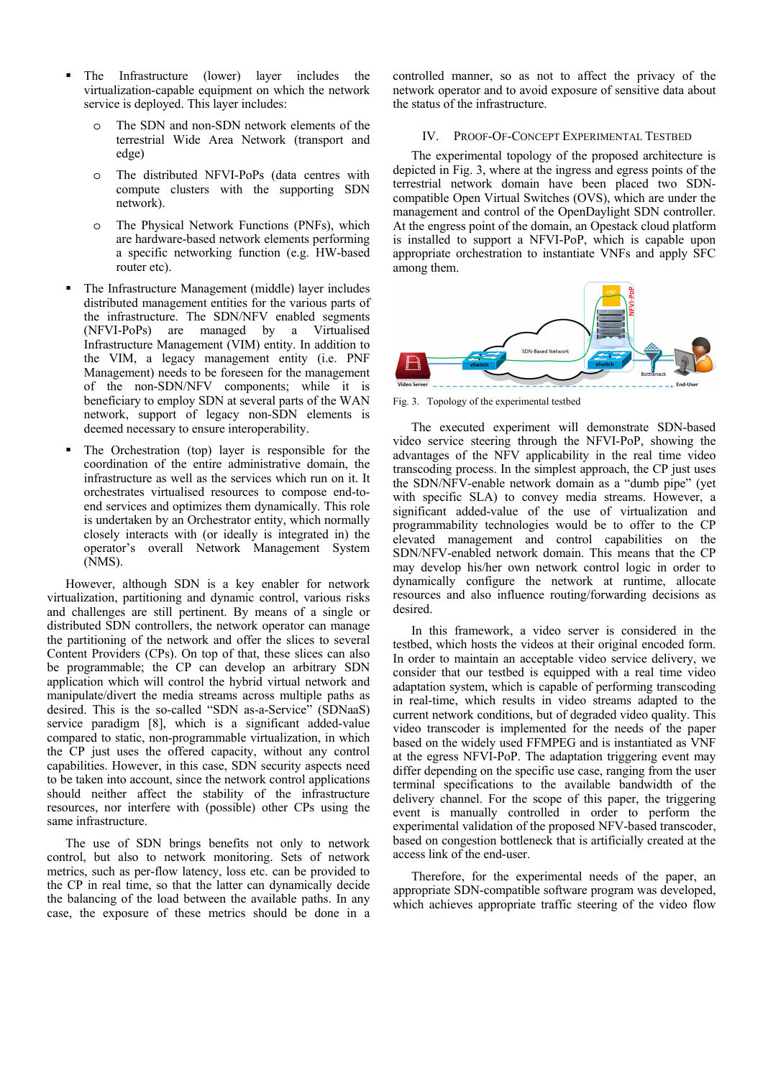- The Infrastructure (lower) layer includes the virtualization-capable equipment on which the network service is deployed. This layer includes:
	- The SDN and non-SDN network elements of the terrestrial Wide Area Network (transport and edge)
	- The distributed NFVI-PoPs (data centres with compute clusters with the supporting SDN network).
	- o The Physical Network Functions (PNFs), which are hardware-based network elements performing a specific networking function (e.g. HW-based router etc).
- The Infrastructure Management (middle) layer includes distributed management entities for the various parts of the infrastructure. The SDN/NFV enabled segments (NFVI-PoPs) are managed by a Virtualised Infrastructure Management (VIM) entity. In addition to the VIM, a legacy management entity (i.e. PNF Management) needs to be foreseen for the management of the non-SDN/NFV components; while it is beneficiary to employ SDN at several parts of the WAN network, support of legacy non-SDN elements is deemed necessary to ensure interoperability.
- The Orchestration (top) layer is responsible for the coordination of the entire administrative domain, the infrastructure as well as the services which run on it. It orchestrates virtualised resources to compose end-toend services and optimizes them dynamically. This role is undertaken by an Orchestrator entity, which normally closely interacts with (or ideally is integrated in) the operator's overall Network Management System (NMS).

However, although SDN is a key enabler for network virtualization, partitioning and dynamic control, various risks and challenges are still pertinent. By means of a single or distributed SDN controllers, the network operator can manage the partitioning of the network and offer the slices to several Content Providers (CPs). On top of that, these slices can also be programmable; the CP can develop an arbitrary SDN application which will control the hybrid virtual network and manipulate/divert the media streams across multiple paths as desired. This is the so-called "SDN as-a-Service" (SDNaaS) service paradigm [8], which is a significant added-value compared to static, non-programmable virtualization, in which the CP just uses the offered capacity, without any control capabilities. However, in this case, SDN security aspects need to be taken into account, since the network control applications should neither affect the stability of the infrastructure resources, nor interfere with (possible) other CPs using the same infrastructure.

The use of SDN brings benefits not only to network control, but also to network monitoring. Sets of network metrics, such as per-flow latency, loss etc. can be provided to the CP in real time, so that the latter can dynamically decide the balancing of the load between the available paths. In any case, the exposure of these metrics should be done in a

controlled manner, so as not to affect the privacy of the network operator and to avoid exposure of sensitive data about the status of the infrastructure.

## IV. PROOF-OF-CONCEPT EXPERIMENTAL TESTBED

The experimental topology of the proposed architecture is depicted in Fig. 3, where at the ingress and egress points of the terrestrial network domain have been placed two SDNcompatible Open Virtual Switches (OVS), which are under the management and control of the OpenDaylight SDN controller. At the engress point of the domain, an Opestack cloud platform is installed to support a NFVI-PoP, which is capable upon appropriate orchestration to instantiate VNFs and apply SFC among them.



Fig. 3. Topology of the experimental testbed

The executed experiment will demonstrate SDN-based video service steering through the NFVI-PoP, showing the advantages of the NFV applicability in the real time video transcoding process. In the simplest approach, the CP just uses the SDN/NFV-enable network domain as a "dumb pipe" (yet with specific SLA) to convey media streams. However, a significant added-value of the use of virtualization and programmability technologies would be to offer to the CP elevated management and control capabilities on the SDN/NFV-enabled network domain. This means that the CP may develop his/her own network control logic in order to dynamically configure the network at runtime, allocate resources and also influence routing/forwarding decisions as desired.

In this framework, a video server is considered in the testbed, which hosts the videos at their original encoded form. In order to maintain an acceptable video service delivery, we consider that our testbed is equipped with a real time video adaptation system, which is capable of performing transcoding in real-time, which results in video streams adapted to the current network conditions, but of degraded video quality. This video transcoder is implemented for the needs of the paper based on the widely used FFMPEG and is instantiated as VNF at the egress NFVI-PoP. The adaptation triggering event may differ depending on the specific use case, ranging from the user terminal specifications to the available bandwidth of the delivery channel. For the scope of this paper, the triggering event is manually controlled in order to perform the experimental validation of the proposed NFV-based transcoder, based on congestion bottleneck that is artificially created at the access link of the end-user.

Therefore, for the experimental needs of the paper, an appropriate SDN-compatible software program was developed, which achieves appropriate traffic steering of the video flow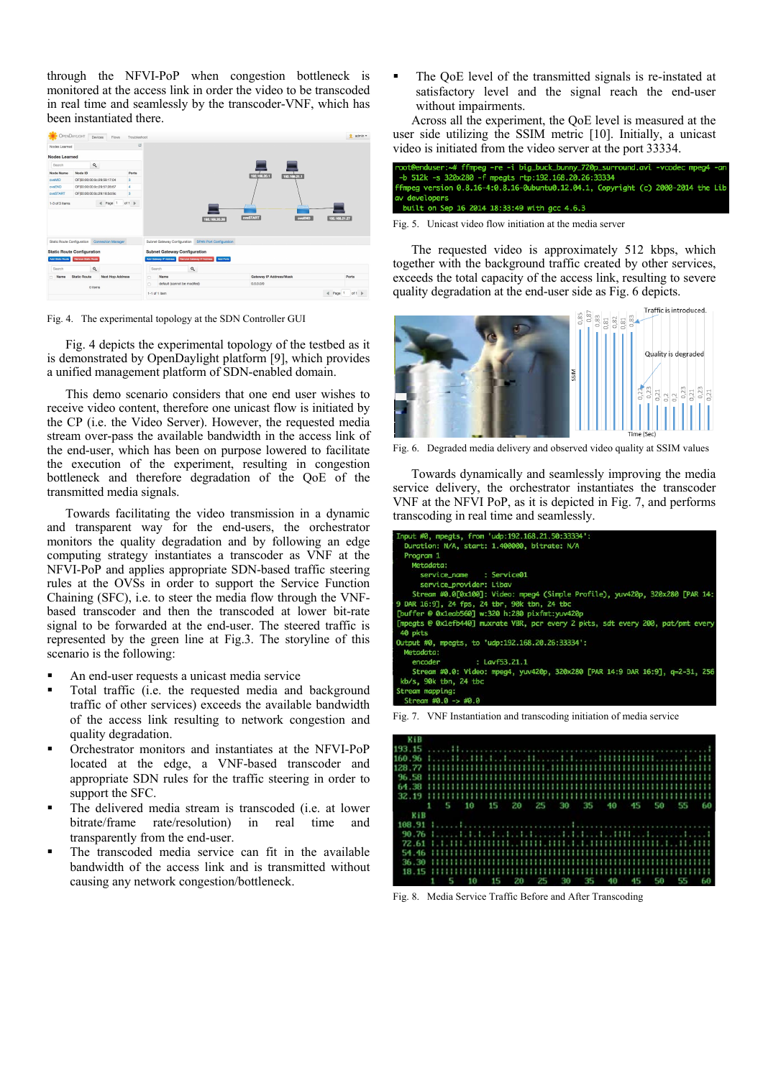through the NFVI-PoP when congestion bottleneck is monitored at the access link in order the video to be transcoded in real time and seamlessly by the transcoder-VNF, which has been instantiated there.

|                                                       | <b>OPENDAYLIGHT</b>        | Devices<br>Flows             | Troubleshoot            |                             |                                     |                                               |                         |              |                      | $Q$ admin $\sim$ |
|-------------------------------------------------------|----------------------------|------------------------------|-------------------------|-----------------------------|-------------------------------------|-----------------------------------------------|-------------------------|--------------|----------------------|------------------|
| Nodes Learned                                         |                            |                              | 区                       |                             |                                     |                                               |                         |              |                      |                  |
| Nodes Learned                                         |                            |                              |                         |                             |                                     |                                               |                         |              |                      |                  |
| $\alpha$<br>Search                                    |                            |                              |                         |                             |                                     |                                               |                         |              |                      |                  |
| Node Name                                             | Node ID                    |                              | Ports                   |                             |                                     |                                               | 192.156.20.1            | 192.168.21.1 |                      |                  |
| ovsMID                                                |                            | OFI00:00:00:0c:29:59:17:04   | $\overline{3}$          |                             |                                     |                                               |                         |              |                      |                  |
| ovsEND                                                |                            | OFI00:00:00:0c:29:57:28:67   | 4                       |                             |                                     |                                               |                         |              |                      |                  |
| ovsSTART                                              |                            | OF 00:00:00:0c:29:18:5d:9c   | 3                       |                             |                                     |                                               |                         |              |                      |                  |
| 1-3 of 3 hems<br>Static Route Configuration           |                            | Page 1<br>Connection Manager | of $1 \quad \mathbb{P}$ |                             | Subnet Gateway Configuration        | 192.168.20.26<br>SPAN Port Configuration      | ovsSTART                | ovsEND       | 192.168.21.27        |                  |
|                                                       |                            |                              |                         |                             | <b>Subnet Gateway Configuration</b> |                                               |                         |              |                      |                  |
| <b>Static Route Configuration</b><br>Add Static Route | <b>Remove Static Route</b> |                              |                         |                             | Add Gateway IP Address              | <b>Renove Gateway IP Address</b><br>Add Ports |                         |              |                      |                  |
| Search                                                |                            | $\circ$                      |                         |                             | Search                              | q                                             |                         |              |                      |                  |
| Name<br>n                                             | Static Route               | <b>Next Hop Address</b>      |                         | $\Box$                      | Name                                |                                               | Gateway IP Address/Mask |              |                      | Ports            |
| 0 Items                                               |                            |                              | $\Box$                  | default (cannot be modifed) |                                     | 0.0.0.0/0                                     |                         |              |                      |                  |
|                                                       |                            |                              | 1-1 of 1 item           |                             |                                     |                                               |                         | Page 1       | of $t$ $\rightarrow$ |                  |

Fig. 4. The experimental topology at the SDN Controller GUI

Fig. 4 depicts the experimental topology of the testbed as it is demonstrated by OpenDaylight platform [9], which provides a unified management platform of SDN-enabled domain.

This demo scenario considers that one end user wishes to receive video content, therefore one unicast flow is initiated by the CP (i.e. the Video Server). However, the requested media stream over-pass the available bandwidth in the access link of the end-user, which has been on purpose lowered to facilitate the execution of the experiment, resulting in congestion bottleneck and therefore degradation of the QoE of the transmitted media signals.

Towards facilitating the video transmission in a dynamic and transparent way for the end-users, the orchestrator monitors the quality degradation and by following an edge computing strategy instantiates a transcoder as VNF at the NFVI-PoP and applies appropriate SDN-based traffic steering rules at the OVSs in order to support the Service Function Chaining (SFC), i.e. to steer the media flow through the VNFbased transcoder and then the transcoded at lower bit-rate signal to be forwarded at the end-user. The steered traffic is represented by the green line at Fig.3. The storyline of this scenario is the following:

- An end-user requests a unicast media service
- Total traffic (i.e. the requested media and background traffic of other services) exceeds the available bandwidth of the access link resulting to network congestion and quality degradation.
- Orchestrator monitors and instantiates at the NFVI-PoP located at the edge, a VNF-based transcoder and appropriate SDN rules for the traffic steering in order to support the SFC.
- The delivered media stream is transcoded (i.e. at lower bitrate/frame rate/resolution) in real time and transparently from the end-user.
- The transcoded media service can fit in the available bandwidth of the access link and is transmitted without causing any network congestion/bottleneck.

 The QoE level of the transmitted signals is re-instated at satisfactory level and the signal reach the end-user without impairments.

Across all the experiment, the QoE level is measured at the user side utilizing the SSIM metric [10]. Initially, a unicast video is initiated from the video server at the port 33334.



Fig. 5. Unicast video flow initiation at the media server

The requested video is approximately 512 kbps, which together with the background traffic created by other services, exceeds the total capacity of the access link, resulting to severe quality degradation at the end-user side as Fig. 6 depicts.



Fig. 6. Degraded media delivery and observed video quality at SSIM values

Towards dynamically and seamlessly improving the media service delivery, the orchestrator instantiates the transcoder VNF at the NFVI PoP, as it is depicted in Fig. 7, and performs transcoding in real time and seamlessly.

| Input #0, mpegts, from 'udp:192.168.21.50:33334':                                |  |
|----------------------------------------------------------------------------------|--|
| Duration: N/A, start: 1.400000, bitrate: N/A                                     |  |
| Program 1                                                                        |  |
| Metadata:                                                                        |  |
| service_name : Service01                                                         |  |
| service_provider: Libav                                                          |  |
| Stream #0.0[0x100]: Video: mpeg4 (Simple Profile), yuv420p, 320x280 [PAR 14:     |  |
| 9 DAR 16:9], 24 fps, 24 tbr, 90k tbn, 24 tbc                                     |  |
| [buffer @ 0x1eab560] w:320 h:280 pixfmt:yuv420p                                  |  |
| [mpegts @ 0x1efb440] muxrate VBR, pcr every 2 pkts, sdt every 200, pat/pmt every |  |
| 40 pkts                                                                          |  |
| Output #0, mpegts, to 'udp:192.168.20.26:33334':                                 |  |
| Metadata:                                                                        |  |
| encoder : Lavf53.21.1                                                            |  |
| Stream #0.0: Video: mpeg4, yuv420p, 320x280 [PAR 14:9 DAR 16:9], q=2-31, 256     |  |
| kb/s, 90k tbn, 24 tbc                                                            |  |
| Stream mapping:                                                                  |  |
| Stream $#0.0 \rightarrow #0.0$                                                   |  |

Fig. 7. VNF Instantiation and transcoding initiation of media service



Fig. 8. Media Service Traffic Before and After Transcoding